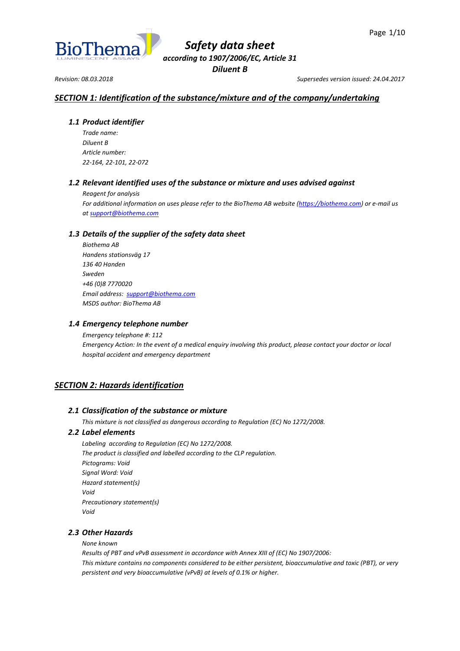

*Revision: 08.03.2018 Supersedes version issued: 24.04.2017*

# *SECTION 1: Identification of the substance/mixture and of the company/undertaking*

# *1.1 Product identifier*

*Trade name: Diluent B Article number: 22-164, 22-101, 22-072*

# *1.2 Relevant identified uses of the substance or mixture and uses advised against*

*Reagent for analysis*

*For additional information on uses please refer to the BioThema AB website [\(https://biothema.com\)](https://biothema.com/) or e-mail us a[t support@biothema.com](mailto:support@biothema.com)*

# *1.3 Details of the supplier of the safety data sheet*

*Biothema AB Handens stationsväg 17 136 40 Handen Sweden +46 (0)8 7770020 Email address: [support@biothema.com](mailto:support@biothema.com) MSDS author: BioThema AB*

# *1.4 Emergency telephone number*

*Emergency telephone #: 112 Emergency Action: In the event of a medical enquiry involving this product, please contact your doctor or local hospital accident and emergency department*

# *SECTION 2: Hazards identification*

# *2.1 Classification of the substance or mixture*

*This mixture is not classified as dangerous according to Regulation (EC) No 1272/2008.*

# *2.2 Label elements*

*Labeling according to Regulation (EC) No 1272/2008. The product is classified and labelled according to the CLP regulation. Pictograms: Void Signal Word: Void Hazard statement(s) Void Precautionary statement(s) Void*

# *2.3 Other Hazards*

*None known*

*Results of PBT and vPvB assessment in accordance with Annex XIII of (EC) No 1907/2006: This mixture contains no components considered to be either persistent, bioaccumulative and toxic (PBT), or very persistent and very bioaccumulative (vPvB) at levels of 0.1% or higher.*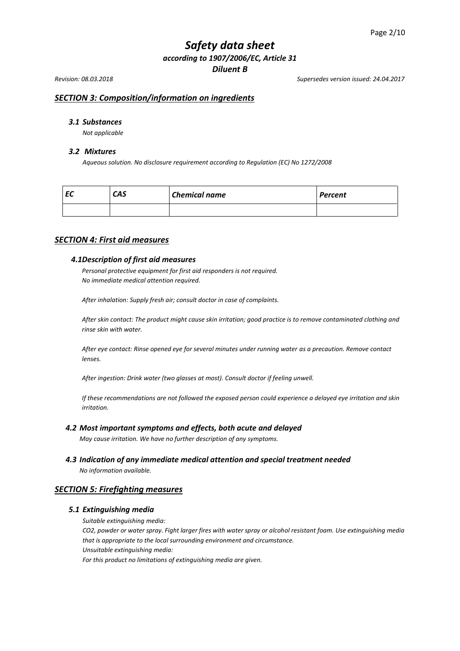*Revision: 08.03.2018 Supersedes version issued: 24.04.2017*

# *SECTION 3: Composition/information on ingredients*

# *3.1 Substances*

*Not applicable*

#### *3.2 Mixtures*

*Aqueous solution. No disclosure requirement according to Regulation (EC) No 1272/2008*

| EC | CAS | <b>Chemical name</b> | Percent |
|----|-----|----------------------|---------|
|    |     |                      |         |

# *SECTION 4: First aid measures*

## *4.1Description of first aid measures*

*Personal protective equipment for first aid responders is not required. No immediate medical attention required.*

*After inhalation: Supply fresh air; consult doctor in case of complaints.*

*After skin contact: The product might cause skin irritation; good practice is to remove contaminated clothing and rinse skin with water.*

*After eye contact: Rinse opened eye for several minutes under running water as a precaution. Remove contact lenses.*

*After ingestion: Drink water (two glasses at most). Consult doctor if feeling unwell.*

*If these recommendations are not followed the exposed person could experience a delayed eye irritation and skin irritation.*

#### *4.2 Most important symptoms and effects, both acute and delayed*

*May cause irritation. We have no further description of any symptoms.*

*4.3 Indication of any immediate medical attention and special treatment needed*

*No information available.*

# *SECTION 5: Firefighting measures*

#### *5.1 Extinguishing media*

*Suitable extinguishing media:*

*CO2, powder or water spray. Fight larger fires with water spray or alcohol resistant foam. Use extinguishing media that is appropriate to the local surrounding environment and circumstance. Unsuitable extinguishing media:*

*For this product no limitations of extinguishing media are given.*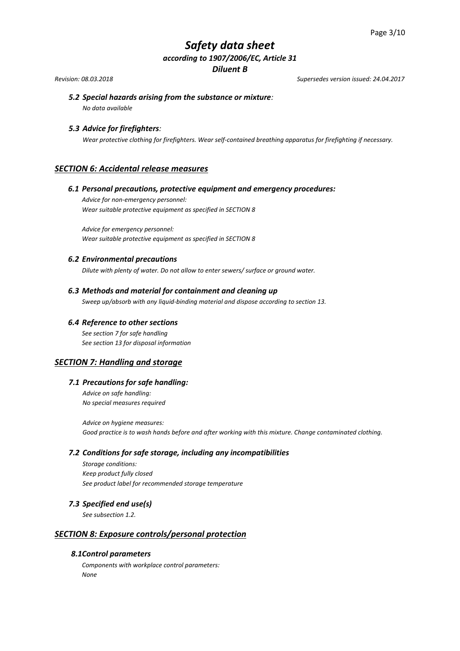*Revision: 08.03.2018 Supersedes version issued: 24.04.2017*

# *5.2 Special hazards arising from the substance or mixture:*

*No data available*

# *5.3 Advice for firefighters:*

*Wear protective clothing for firefighters. Wear self-contained breathing apparatus for firefighting if necessary.*

# *SECTION 6: Accidental release measures*

# *6.1 Personal precautions, protective equipment and emergency procedures:*

*Advice for non-emergency personnel: Wear suitable protective equipment as specified in SECTION 8*

*Advice for emergency personnel: Wear suitable protective equipment as specified in SECTION 8* 

## *6.2 Environmental precautions*

*Dilute with plenty of water. Do not allow to enter sewers/ surface or ground water.*

# *6.3 Methods and material for containment and cleaning up*

*Sweep up/absorb with any liquid-binding material and dispose according to section 13.*

## *6.4 Reference to other sections*

*See section 7 for safe handling See section 13 for disposal information*

# *SECTION 7: Handling and storage*

## *7.1 Precautions for safe handling:*

*Advice on safe handling: No special measures required*

*Advice on hygiene measures: Good practice is to wash hands before and after working with this mixture. Change contaminated clothing.*

#### *7.2 Conditions for safe storage, including any incompatibilities*

*Storage conditions: Keep product fully closed See product label for recommended storage temperature* 

## *7.3 Specified end use(s)*

*See subsection 1.2.*

# *SECTION 8: Exposure controls/personal protection*

# *8.1Control parameters*

*Components with workplace control parameters: None*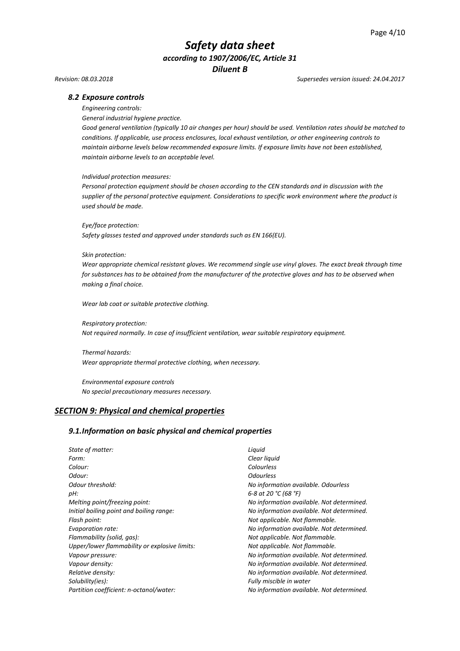#### *Revision: 08.03.2018 Supersedes version issued: 24.04.2017*

#### *8.2 Exposure controls*

*Engineering controls:*

*General industrial hygiene practice.*

*Good general ventilation (typically 10 air changes per hour) should be used. Ventilation rates should be matched to conditions. If applicable, use process enclosures, local exhaust ventilation, or other engineering controls to maintain airborne levels below recommended exposure limits. If exposure limits have not been established, maintain airborne levels to an acceptable level.*

#### *Individual protection measures:*

*Personal protection equipment should be chosen according to the CEN standards and in discussion with the supplier of the personal protective equipment. Considerations to specific work environment where the product is used should be made.*

*Eye/face protection:*

*Safety glasses tested and approved under standards such as EN 166(EU).*

#### *Skin protection:*

*Wear appropriate chemical resistant gloves. We recommend single use vinyl gloves. The exact break through time for substances has to be obtained from the manufacturer of the protective gloves and has to be observed when making a final choice.*

*Wear lab coat or suitable protective clothing.*

*Respiratory protection: Not required normally. In case of insufficient ventilation, wear suitable respiratory equipment.*

*Thermal hazards: Wear appropriate thermal protective clothing, when necessary.*

*Environmental exposure controls No special precautionary measures necessary.*

## *SECTION 9: Physical and chemical properties*

#### *9.1.Information on basic physical and chemical properties*

*State of matter: Liquid Form: Clear liquid Colour: Colourless Odour: Odourless Odour threshold: No information available. Odourless pH: 6-8 at 20 °C (68 °F) Melting point/freezing point: No information available. Not determined. Initial boiling point and boiling range: No information available. Not determined. Flash point: Not applicable. Not flammable. Evaporation rate: No information available. Not determined. Flammability (solid, gas): Not applicable. Not flammable. Upper/lower flammability or explosive limits: Not applicable. Not flammable. Vapour pressure: No information available. Not determined. Vapour density: No information available. Not determined. Relative density: No information available. Not determined. Solubility(ies): Fully miscible in water Partition coefficient: n-octanol/water: No information available. Not determined.*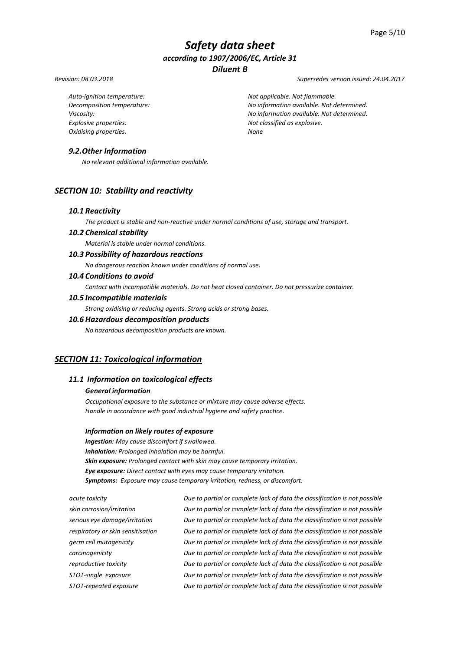*Revision: 08.03.2018 Supersedes version issued: 24.04.2017*

*Auto-ignition temperature: Not applicable. Not flammable.*

*Explosive properties: Not classified as explosive. Oxidising properties. None*

# *Decomposition temperature: No information available. Not determined. Viscosity: No information available. Not determined.*

# *9.2.Other Information*

*No relevant additional information available.*

# *SECTION 10: Stability and reactivity*

#### *10.1 Reactivity*

*The product is stable and non-reactive under normal conditions of use, storage and transport.*

# *10.2 Chemical stability*

*Material is stable under normal conditions.*

# *10.3 Possibility of hazardous reactions*

*No dangerous reaction known under conditions of normal use.*

# *10.4 Conditions to avoid*

*Contact with incompatible materials. Do not heat closed container. Do not pressurize container.*

#### *10.5 Incompatible materials*

*Strong oxidising or reducing agents. Strong acids or strong bases.*

# *10.6 Hazardous decomposition products*

*No hazardous decomposition products are known.*

# *SECTION 11: Toxicological information*

# *11.1 Information on toxicological effects*

## *General information*

*Occupational exposure to the substance or mixture may cause adverse effects. Handle in accordance with good industrial hygiene and safety practice.*

#### *Information on likely routes of exposure*

*Ingestion: May cause discomfort if swallowed. Inhalation: Prolonged inhalation may be harmful. Skin exposure: Prolonged contact with skin may cause temporary irritation. Eye exposure: Direct contact with eyes may cause temporary irritation. Symptoms: Exposure may cause temporary irritation, redness, or discomfort.*

*acute toxicity Due to partial or complete lack of data the classification is not possible skin corrosion/irritation Due to partial or complete lack of data the classification is not possible serious eye damage/irritation Due to partial or complete lack of data the classification is not possible respiratory or skin sensitisation Due to partial or complete lack of data the classification is not possible germ cell mutagenicity Due to partial or complete lack of data the classification is not possible carcinogenicity Due to partial or complete lack of data the classification is not possible reproductive toxicity Due to partial or complete lack of data the classification is not possible STOT-single exposure Due to partial or complete lack of data the classification is not possible STOT-repeated exposure Due to partial or complete lack of data the classification is not possible*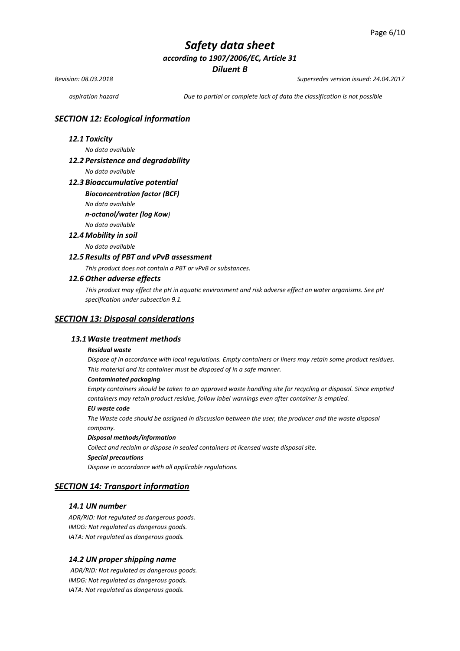*Revision: 08.03.2018 Supersedes version issued: 24.04.2017*

*aspiration hazard Due to partial or complete lack of data the classification is not possible*

## *SECTION 12: Ecological information*

## *12.1 Toxicity*

*No data available* 

#### *12.2 Persistence and degradability*

*No data available*

#### *12.3 Bioaccumulative potential*

#### *Bioconcentration factor (BCF)*

*No data available* 

*n-octanol/water (log Kow)*

# *No data available*

*12.4 Mobility in soil* 

*No data available* 

## *12.5 Results of PBT and vPvB assessment*

*This product does not contain a PBT or vPvB or substances.*

#### *12.6 Other adverse effects*

*This product may effect the pH in aquatic environment and risk adverse effect on water organisms. See pH specification under subsection 9.1.*

#### *SECTION 13: Disposal considerations*

## *13.1Waste treatment methods*

#### *Residual waste*

*Dispose of in accordance with local regulations. Empty containers or liners may retain some product residues. This material and its container must be disposed of in a safe manner.*

#### *Contaminated packaging*

*Empty containers should be taken to an approved waste handling site for recycling or disposal. Since emptied*  containers may retain product residue, follow label warnings even after container is emptied.

#### *EU waste code*

*The Waste code should be assigned in discussion between the user, the producer and the waste disposal company.*

#### *Disposal methods/information*

*Collect and reclaim or dispose in sealed containers at licensed waste disposal site. Special precautions*

*Dispose in accordance with all applicable regulations.*

# *SECTION 14: Transport information*

# *14.1 UN number*

*ADR/RID: Not regulated as dangerous goods. IMDG: Not regulated as dangerous goods. IATA: Not regulated as dangerous goods.*

#### *14.2 UN proper shipping name*

*ADR/RID: Not regulated as dangerous goods. IMDG: Not regulated as dangerous goods. IATA: Not regulated as dangerous goods.*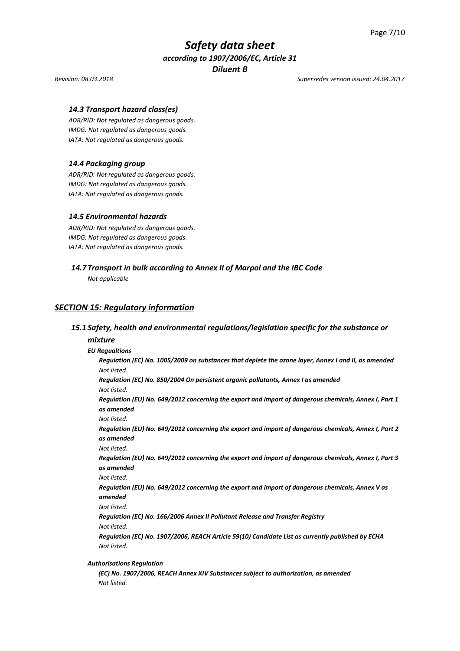#### *Revision: 08.03.2018 Supersedes version issued: 24.04.2017*

## *14.3 Transport hazard class(es)*

*ADR/RID: Not regulated as dangerous goods. IMDG: Not regulated as dangerous goods. IATA: Not regulated as dangerous goods.*

#### *14.4 Packaging group*

*ADR/RID: Not regulated as dangerous goods. IMDG: Not regulated as dangerous goods. IATA: Not regulated as dangerous goods.*

#### *14.5 Environmental hazards*

*ADR/RID: Not regulated as dangerous goods. IMDG: Not regulated as dangerous goods. IATA: Not regulated as dangerous goods.*

### *14.7 Transport in bulk according to Annex II of Marpol and the IBC Code*

*Not applicable*

# *SECTION 15: Regulatory information*

#### *15.1 Safety, health and environmental regulations/legislation specific for the substance or*

#### *mixture*

#### *EU Regualtions*

*Regulation (EC) No. 1005/2009 on substances that deplete the ozone layer, Annex I and II, as amended Not listed.*

*Regulation (EC) No. 850/2004 On persistent organic pollutants, Annex I as amended Not listed.*

*Regulation (EU) No. 649/2012 concerning the export and import of dangerous chemicals, Annex I, Part 1 as amended* 

*Not listed.*

*Regulation (EU) No. 649/2012 concerning the export and import of dangerous chemicals, Annex I, Part 2 as amended*

*Not listed.*

*Regulation (EU) No. 649/2012 concerning the export and import of dangerous chemicals, Annex I, Part 3 as amended*

*Not listed.*

*Regulation (EU) No. 649/2012 concerning the export and import of dangerous chemicals, Annex V as amended*

*Not listed.*

*Regulation (EC) No. 166/2006 Annex II Pollutant Release and Transfer Registry Not listed.*

*Regulation (EC) No. 1907/2006, REACH Article 59(10) Candidate List as currently published by ECHA Not listed.*

#### *Authorisations Regulation*

*(EC) No. 1907/2006, REACH Annex XIV Substances subject to authorization, as amended Not listed.*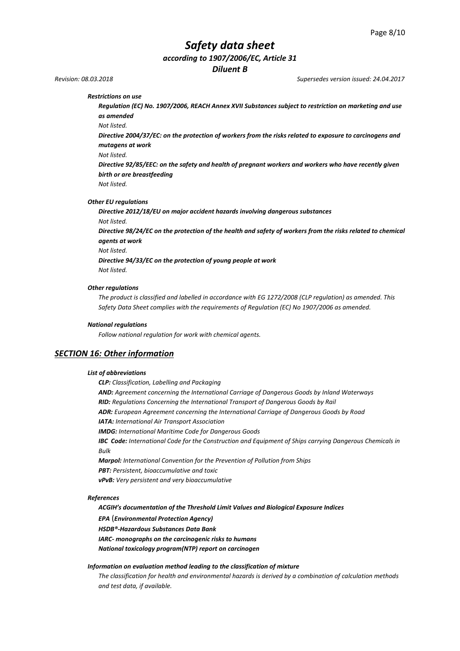# *Safety data sheet*

*according to 1907/2006/EC, Article 31*

*Diluent B*

*Revision: 08.03.2018 Supersedes version issued: 24.04.2017*

*Restrictions on use* 

*Regulation (EC) No. 1907/2006, REACH Annex XVII Substances subject to restriction on marketing and use as amended*

*Not listed.*

*Directive 2004/37/EC: on the protection of workers from the risks related to exposure to carcinogens and mutagens at work*

*Not listed.*

*Directive 92/85/EEC: on the safety and health of pregnant workers and workers who have recently given birth or are breastfeeding*

*Not listed.*

*Other EU regulations*

*Directive 2012/18/EU on major accident hazards involving dangerous substances Not listed.* 

*Directive 98/24/EC on the protection of the health and safety of workers from the risks related to chemical agents at work* 

*Not listed.*

*Directive 94/33/EC on the protection of young people at work Not listed.*

#### *Other regulations*

*The product is classified and labelled in accordance with EG 1272/2008 (CLP regulation) as amended. This Safety Data Sheet complies with the requirements of Regulation (EC) No 1907/2006 as amended.*

#### *National regulations*

*Follow national regulation for work with chemical agents.*

## *SECTION 16: Other information*

#### *List of abbreviations*

*CLP: Classification, Labelling and Packaging AND: Agreement concerning the International Carriage of Dangerous Goods by Inland Waterways RID: Regulations Concerning the International Transport of Dangerous Goods by Rail ADR: European Agreement concerning the International Carriage of Dangerous Goods by Road IATA: International Air Transport Association IMDG: International Maritime Code for Dangerous Goods IBC Code: International Code for the Construction and Equipment of Ships carrying Dangerous Chemicals in Bulk Marpol: International Convention for the Prevention of Pollution from Ships PBT: Persistent, bioaccumulative and toxic vPvB: Very persistent and very bioaccumulative*

#### *References*

*ACGIH's documentation of the Threshold Limit Values and Biological Exposure Indices EPA* (*Environmental Protection Agency) HSDB®-Hazardous Substances Data Bank IARC- monographs on the carcinogenic risks to humans National toxicology program(NTP) report on carcinogen*

#### *Information on evaluation method leading to the classification of mixture*

*The classification for health and environmental hazards is derived by a combination of calculation methods and test data, if available.*